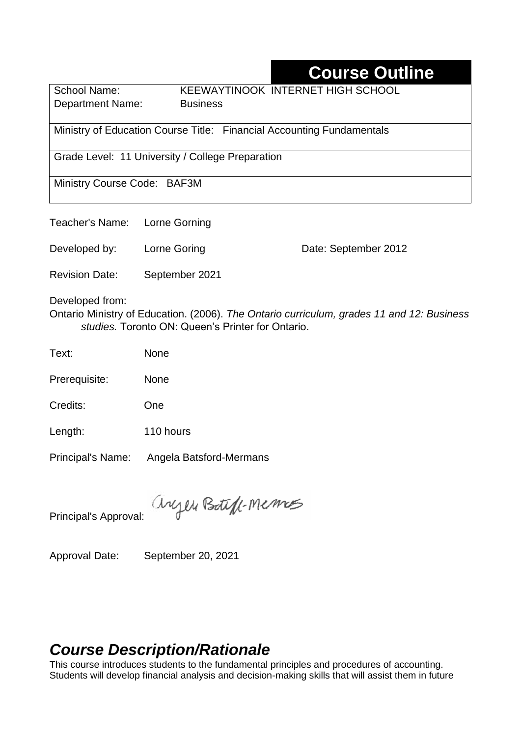# **Course Outline**

School Name: KEEWAYTINOOK INTERNET HIGH SCHOOL **Department Name:** Business

Ministry of Education Course Title:Financial Accounting Fundamentals

Grade Level: 11 University / College Preparation

Ministry Course Code: BAF3M

Teacher's Name: Lorne Gorning

Developed by: Lorne Goring Date: September 2012

Revision Date: September 2021

Developed from:

Ontario Ministry of Education. (2006). *The Ontario curriculum, grades 11 and 12: Business studies.* Toronto ON: Queen's Printer for Ontario.

Text: None

Prerequisite: None

Credits: One

Length: 110 hours

Principal's Name: Angela Batsford-Mermans

anyen Boteff-Memos

Principal's Approval:

Approval Date: September 20, 2021

# *Course Description/Rationale*

This course introduces students to the fundamental principles and procedures of accounting. Students will develop financial analysis and decision-making skills that will assist them in future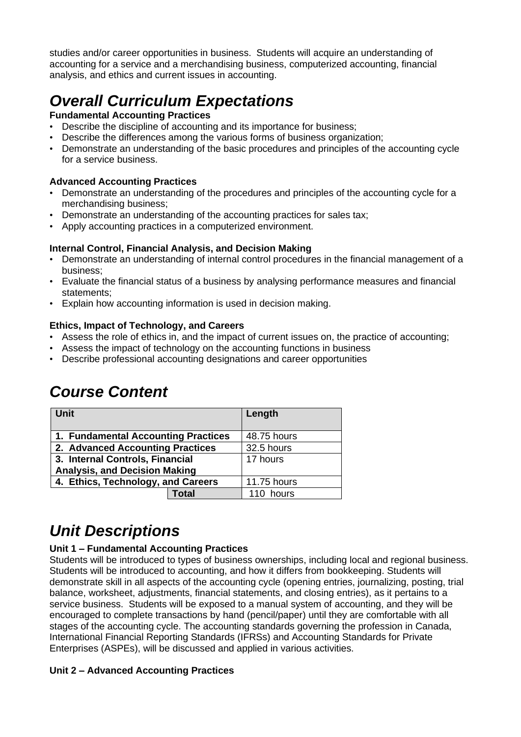studies and/or career opportunities in business. Students will acquire an understanding of accounting for a service and a merchandising business, computerized accounting, financial analysis, and ethics and current issues in accounting.

# *Overall Curriculum Expectations*

#### **Fundamental Accounting Practices**

- Describe the discipline of accounting and its importance for business;
- Describe the differences among the various forms of business organization;
- Demonstrate an understanding of the basic procedures and principles of the accounting cycle for a service business.

#### **Advanced Accounting Practices**

- Demonstrate an understanding of the procedures and principles of the accounting cycle for a merchandising business;
- Demonstrate an understanding of the accounting practices for sales tax;
- Apply accounting practices in a computerized environment.

#### **Internal Control, Financial Analysis, and Decision Making**

- Demonstrate an understanding of internal control procedures in the financial management of a business;
- Evaluate the financial status of a business by analysing performance measures and financial statements;
- Explain how accounting information is used in decision making.

#### **Ethics, Impact of Technology, and Careers**

- Assess the role of ethics in, and the impact of current issues on, the practice of accounting;
- Assess the impact of technology on the accounting functions in business
- Describe professional accounting designations and career opportunities

| <b>Unit</b>                          |       | Length      |
|--------------------------------------|-------|-------------|
| 1. Fundamental Accounting Practices  |       | 48.75 hours |
| 2. Advanced Accounting Practices     |       | 32.5 hours  |
| 3. Internal Controls, Financial      |       | 17 hours    |
| <b>Analysis, and Decision Making</b> |       |             |
| 4. Ethics, Technology, and Careers   |       | 11.75 hours |
|                                      | Total | 110 hours   |

### *Course Content*

# *Unit Descriptions*

#### **Unit 1 – Fundamental Accounting Practices**

Students will be introduced to types of business ownerships, including local and regional business. Students will be introduced to accounting, and how it differs from bookkeeping. Students will demonstrate skill in all aspects of the accounting cycle (opening entries, journalizing, posting, trial balance, worksheet, adjustments, financial statements, and closing entries), as it pertains to a service business. Students will be exposed to a manual system of accounting, and they will be encouraged to complete transactions by hand (pencil/paper) until they are comfortable with all stages of the accounting cycle. The accounting standards governing the profession in Canada, International Financial Reporting Standards (IFRSs) and Accounting Standards for Private Enterprises (ASPEs), will be discussed and applied in various activities.

#### **Unit 2 – Advanced Accounting Practices**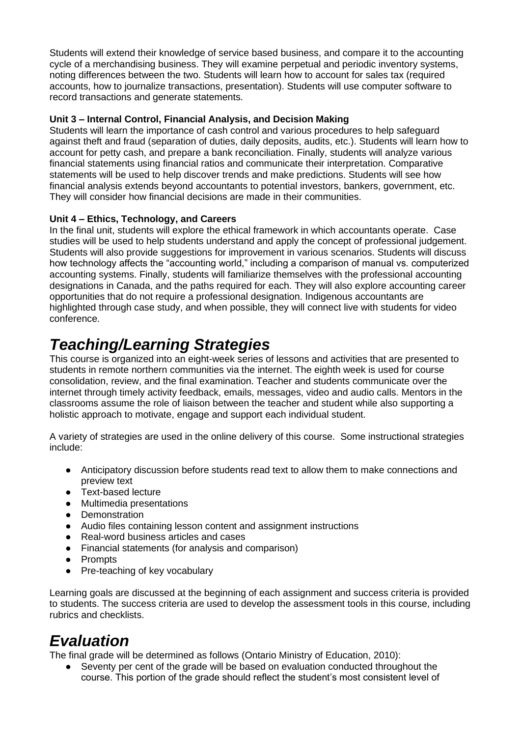Students will extend their knowledge of service based business, and compare it to the accounting cycle of a merchandising business. They will examine perpetual and periodic inventory systems, noting differences between the two. Students will learn how to account for sales tax (required accounts, how to journalize transactions, presentation). Students will use computer software to record transactions and generate statements.

#### **Unit 3 – Internal Control, Financial Analysis, and Decision Making**

Students will learn the importance of cash control and various procedures to help safeguard against theft and fraud (separation of duties, daily deposits, audits, etc.). Students will learn how to account for petty cash, and prepare a bank reconciliation. Finally, students will analyze various financial statements using financial ratios and communicate their interpretation. Comparative statements will be used to help discover trends and make predictions. Students will see how financial analysis extends beyond accountants to potential investors, bankers, government, etc. They will consider how financial decisions are made in their communities.

#### **Unit 4 – Ethics, Technology, and Careers**

In the final unit, students will explore the ethical framework in which accountants operate. Case studies will be used to help students understand and apply the concept of professional judgement. Students will also provide suggestions for improvement in various scenarios. Students will discuss how technology affects the "accounting world," including a comparison of manual vs. computerized accounting systems. Finally, students will familiarize themselves with the professional accounting designations in Canada, and the paths required for each. They will also explore accounting career opportunities that do not require a professional designation. Indigenous accountants are highlighted through case study, and when possible, they will connect live with students for video conference.

### *Teaching/Learning Strategies*

This course is organized into an eight-week series of lessons and activities that are presented to students in remote northern communities via the internet. The eighth week is used for course consolidation, review, and the final examination. Teacher and students communicate over the internet through timely activity feedback, emails, messages, video and audio calls. Mentors in the classrooms assume the role of liaison between the teacher and student while also supporting a holistic approach to motivate, engage and support each individual student.

A variety of strategies are used in the online delivery of this course. Some instructional strategies include:

- Anticipatory discussion before students read text to allow them to make connections and preview text
- Text-based lecture
- Multimedia presentations<br>● Demonstration
- Demonstration
- Audio files containing lesson content and assignment instructions
- Real-word business articles and cases
- Financial statements (for analysis and comparison)
- Prompts
- Pre-teaching of key vocabulary

Learning goals are discussed at the beginning of each assignment and success criteria is provided to students. The success criteria are used to develop the assessment tools in this course, including rubrics and checklists.

### *Evaluation*

The final grade will be determined as follows (Ontario Ministry of Education, 2010):

Seventy per cent of the grade will be based on evaluation conducted throughout the course. This portion of the grade should reflect the student's most consistent level of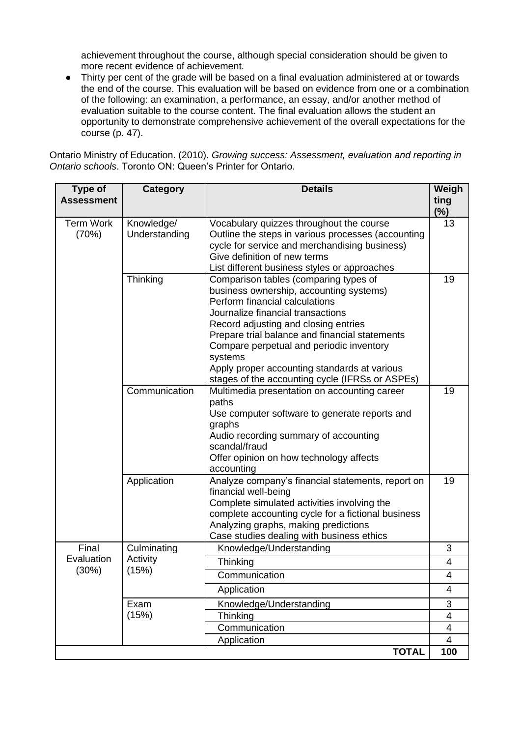achievement throughout the course, although special consideration should be given to more recent evidence of achievement.

● Thirty per cent of the grade will be based on a final evaluation administered at or towards the end of the course. This evaluation will be based on evidence from one or a combination of the following: an examination, a performance, an essay, and/or another method of evaluation suitable to the course content. The final evaluation allows the student an opportunity to demonstrate comprehensive achievement of the overall expectations for the course (p. 47).

Ontario Ministry of Education. (2010). *Growing success: Assessment, evaluation and reporting in Ontario schools*. Toronto ON: Queen's Printer for Ontario.

| Type of<br><b>Assessment</b> | Category                                          | <b>Details</b>                                                                                                                                                                                                                                                                                                                                                                                              | Weigh<br>ting<br>(%) |
|------------------------------|---------------------------------------------------|-------------------------------------------------------------------------------------------------------------------------------------------------------------------------------------------------------------------------------------------------------------------------------------------------------------------------------------------------------------------------------------------------------------|----------------------|
| <b>Term Work</b><br>(70%)    | Knowledge/<br>Understanding                       | Vocabulary quizzes throughout the course<br>Outline the steps in various processes (accounting<br>cycle for service and merchandising business)<br>Give definition of new terms<br>List different business styles or approaches                                                                                                                                                                             | 13                   |
|                              | Thinking                                          | Comparison tables (comparing types of<br>business ownership, accounting systems)<br>Perform financial calculations<br>Journalize financial transactions<br>Record adjusting and closing entries<br>Prepare trial balance and financial statements<br>Compare perpetual and periodic inventory<br>systems<br>Apply proper accounting standards at various<br>stages of the accounting cycle (IFRSs or ASPEs) | 19                   |
|                              | Communication                                     | Multimedia presentation on accounting career<br>paths<br>Use computer software to generate reports and<br>graphs<br>Audio recording summary of accounting<br>scandal/fraud<br>Offer opinion on how technology affects<br>accounting                                                                                                                                                                         | 19                   |
|                              | Application                                       | Analyze company's financial statements, report on<br>financial well-being<br>Complete simulated activities involving the<br>complete accounting cycle for a fictional business<br>Analyzing graphs, making predictions<br>Case studies dealing with business ethics                                                                                                                                         | 19                   |
| Final<br>Evaluation<br>(30%) | Culminating<br>Activity<br>(15%)<br>Exam<br>(15%) | Knowledge/Understanding                                                                                                                                                                                                                                                                                                                                                                                     | 3                    |
|                              |                                                   | Thinking                                                                                                                                                                                                                                                                                                                                                                                                    | $\overline{4}$       |
|                              |                                                   | Communication<br>Application                                                                                                                                                                                                                                                                                                                                                                                | 4<br>4               |
|                              |                                                   |                                                                                                                                                                                                                                                                                                                                                                                                             | 3                    |
|                              |                                                   | Knowledge/Understanding<br>Thinking                                                                                                                                                                                                                                                                                                                                                                         | $\overline{4}$       |
|                              |                                                   | Communication                                                                                                                                                                                                                                                                                                                                                                                               | 4                    |
|                              |                                                   | Application                                                                                                                                                                                                                                                                                                                                                                                                 | $\overline{4}$       |
|                              |                                                   | <b>TOTAL</b>                                                                                                                                                                                                                                                                                                                                                                                                | 100                  |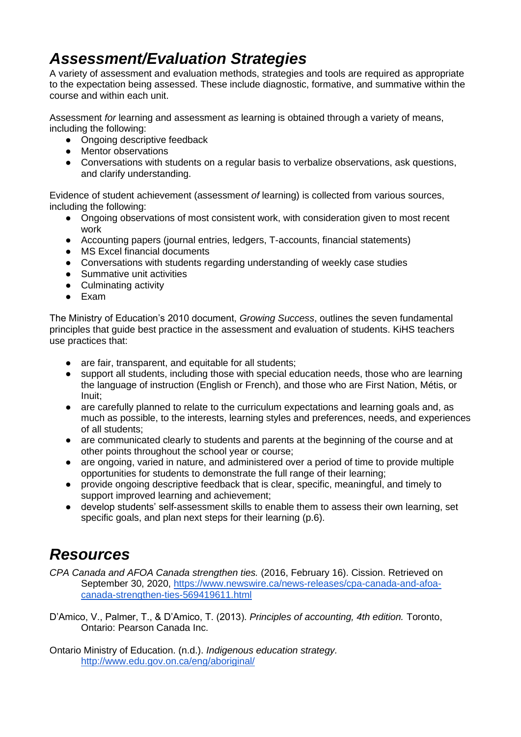# *Assessment/Evaluation Strategies*

A variety of assessment and evaluation methods, strategies and tools are required as appropriate to the expectation being assessed. These include diagnostic, formative, and summative within the course and within each unit.

Assessment *for* learning and assessment *as* learning is obtained through a variety of means, including the following:

- Ongoing descriptive feedback
- Mentor observations
- Conversations with students on a regular basis to verbalize observations, ask questions, and clarify understanding.

Evidence of student achievement (assessment *of* learning) is collected from various sources, including the following:

- Ongoing observations of most consistent work, with consideration given to most recent work
- Accounting papers (journal entries, ledgers, T-accounts, financial statements)
- MS Excel financial documents
- Conversations with students regarding understanding of weekly case studies
- Summative unit activities
- Culminating activity
- Exam

The Ministry of Education's 2010 document, *Growing Success*, outlines the seven fundamental principles that guide best practice in the assessment and evaluation of students. KiHS teachers use practices that:

- are fair, transparent, and equitable for all students;
- support all students, including those with special education needs, those who are learning the language of instruction (English or French), and those who are First Nation, Métis, or Inuit;
- are carefully planned to relate to the curriculum expectations and learning goals and, as much as possible, to the interests, learning styles and preferences, needs, and experiences of all students;
- are communicated clearly to students and parents at the beginning of the course and at other points throughout the school year or course;
- are ongoing, varied in nature, and administered over a period of time to provide multiple opportunities for students to demonstrate the full range of their learning;
- provide ongoing descriptive feedback that is clear, specific, meaningful, and timely to support improved learning and achievement;
- develop students' self-assessment skills to enable them to assess their own learning, set specific goals, and plan next steps for their learning (p.6).

### *Resources*

*CPA Canada and AFOA Canada strengthen ties.* (2016, February 16). Cission. Retrieved on September 30, 2020, [https://www.newswire.ca/news-releases/cpa-canada-and-afoa](https://www.newswire.ca/news-releases/cpa-canada-and-afoa-canada-strengthen-ties-569419611.html)[canada-strengthen-ties-569419611.html](https://www.newswire.ca/news-releases/cpa-canada-and-afoa-canada-strengthen-ties-569419611.html)

D'Amico, V., Palmer, T., & D'Amico, T. (2013). *Principles of accounting, 4th edition.* Toronto, Ontario: Pearson Canada Inc.

Ontario Ministry of Education. (n.d.). *Indigenous education strategy.* <http://www.edu.gov.on.ca/eng/aboriginal/>